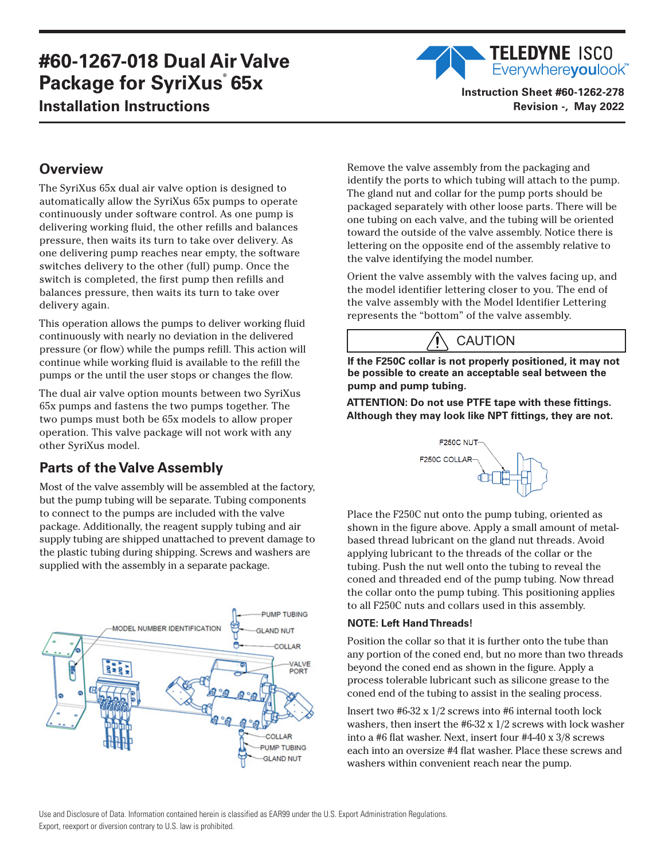# **#60-1267-018 Dual Air Valve Package for SyriXus**®  **65x Installation Instructions**

## **TELEDYNE ISCO** Everywhereyoulook<sup>"</sup> **Instruction Sheet #60-1262-278**

**Revision -, May 2022**

## **Overview**

The SyriXus 65x dual air valve option is designed to automatically allow the SyriXus 65x pumps to operate continuously under software control. As one pump is delivering working fluid, the other refills and balances pressure, then waits its turn to take over delivery. As one delivering pump reaches near empty, the software switches delivery to the other (full) pump. Once the switch is completed, the first pump then refills and balances pressure, then waits its turn to take over delivery again.

This operation allows the pumps to deliver working fluid continuously with nearly no deviation in the delivered pressure (or flow) while the pumps refill. This action will continue while working fluid is available to the refill the pumps or the until the user stops or changes the flow.

The dual air valve option mounts between two SyriXus 65x pumps and fastens the two pumps together. The two pumps must both be 65x models to allow proper operation. This valve package will not work with any other SyriXus model.

## **Parts of the Valve Assembly**

Most of the valve assembly will be assembled at the factory, but the pump tubing will be separate. Tubing components to connect to the pumps are included with the valve package. Additionally, the reagent supply tubing and air supply tubing are shipped unattached to prevent damage to the plastic tubing during shipping. Screws and washers are supplied with the assembly in a separate package.



Remove the valve assembly from the packaging and identify the ports to which tubing will attach to the pump. The gland nut and collar for the pump ports should be packaged separately with other loose parts. There will be one tubing on each valve, and the tubing will be oriented toward the outside of the valve assembly. Notice there is lettering on the opposite end of the assembly relative to the valve identifying the model number.

Orient the valve assembly with the valves facing up, and the model identifier lettering closer to you. The end of the valve assembly with the Model Identifier Lettering represents the "bottom" of the valve assembly.

## CAUTION

**If the F250C collar is not properly positioned, it may not be possible to create an acceptable seal between the pump and pump tubing.**

**ATTENTION: Do not use PTFE tape with these fittings. Although they may look like NPT fittings, they are not.**



Place the F250C nut onto the pump tubing, oriented as shown in the figure above. Apply a small amount of metalbased thread lubricant on the gland nut threads. Avoid applying lubricant to the threads of the collar or the tubing. Push the nut well onto the tubing to reveal the coned and threaded end of the pump tubing. Now thread the collar onto the pump tubing. This positioning applies to all F250C nuts and collars used in this assembly.

### **NOTE: Left Hand Threads!**

Position the collar so that it is further onto the tube than any portion of the coned end, but no more than two threads beyond the coned end as shown in the figure. Apply a process tolerable lubricant such as silicone grease to the coned end of the tubing to assist in the sealing process.

Insert two #6-32 x 1/2 screws into #6 internal tooth lock washers, then insert the #6-32 x 1/2 screws with lock washer into a #6 flat washer. Next, insert four #4-40 x 3/8 screws each into an oversize #4 flat washer. Place these screws and washers within convenient reach near the pump.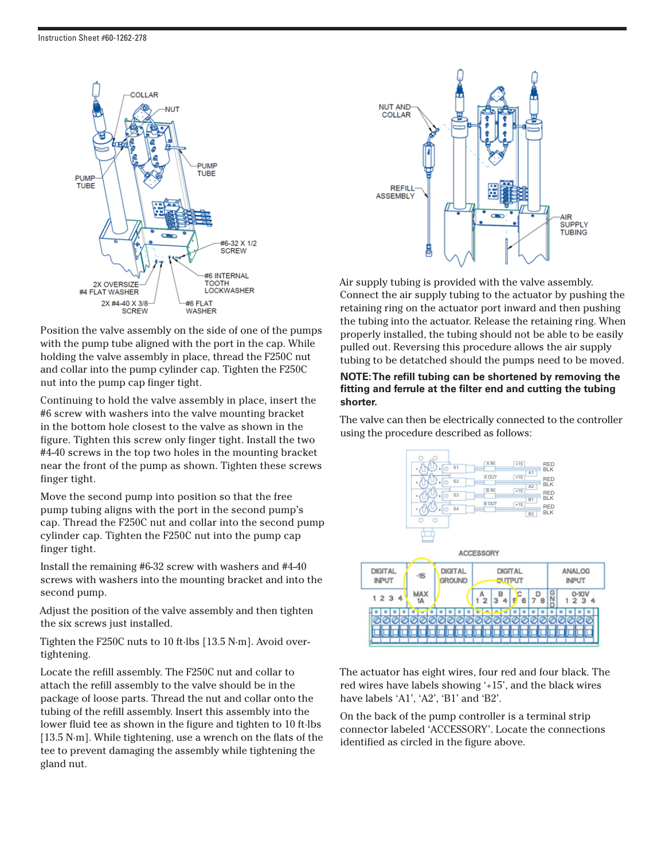

Position the valve assembly on the side of one of the pumps with the pump tube aligned with the port in the cap. While holding the valve assembly in place, thread the F250C nut and collar into the pump cylinder cap. Tighten the F250C nut into the pump cap finger tight.

Continuing to hold the valve assembly in place, insert the #6 screw with washers into the valve mounting bracket in the bottom hole closest to the valve as shown in the figure. Tighten this screw only finger tight. Install the two #4-40 screws in the top two holes in the mounting bracket near the front of the pump as shown. Tighten these screws finger tight.

Move the second pump into position so that the free pump tubing aligns with the port in the second pump's cap. Thread the F250C nut and collar into the second pump cylinder cap. Tighten the F250C nut into the pump cap finger tight.

Install the remaining #6-32 screw with washers and #4-40 screws with washers into the mounting bracket and into the second pump.

Adjust the position of the valve assembly and then tighten the six screws just installed.

Tighten the F250C nuts to 10 ft·lbs [13.5 N·m]. Avoid overtightening.

Locate the refill assembly. The F250C nut and collar to attach the refill assembly to the valve should be in the package of loose parts. Thread the nut and collar onto the tubing of the refill assembly. Insert this assembly into the lower fluid tee as shown in the figure and tighten to 10 ft·lbs [13.5 N·m]. While tightening, use a wrench on the flats of the tee to prevent damaging the assembly while tightening the gland nut.



Air supply tubing is provided with the valve assembly. Connect the air supply tubing to the actuator by pushing the retaining ring on the actuator port inward and then pushing the tubing into the actuator. Release the retaining ring. When properly installed, the tubing should not be able to be easily pulled out. Reversing this procedure allows the air supply tubing to be detatched should the pumps need to be moved.

#### **NOTE: The refill tubing can be shortened by removing the fitting and ferrule at the filter end and cutting the tubing shorter.**

The valve can then be electrically connected to the controller using the procedure described as follows:



The actuator has eight wires, four red and four black. The red wires have labels showing '+15', and the black wires have labels 'A1', 'A2', 'B1' and 'B2'.

On the back of the pump controller is a terminal strip connector labeled 'ACCESSORY'. Locate the connections identified as circled in the figure above.